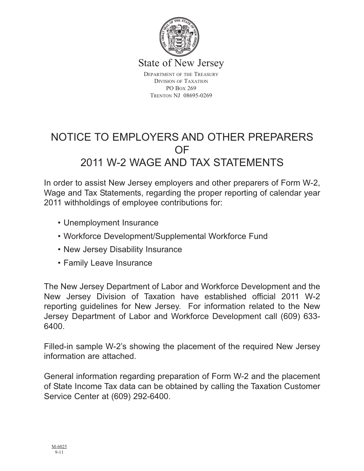

State of New Jersey

DEPARTMENT OF THE TREASURY DIVISION OF TAXATION PO BOX 269 TRENTON NJ 08695-0269

# NOTICE TO EMPLOYERS AND OTHER PREPARERS OF 2011 W-2 WAGE AND TAX STATEMENTS

In order to assist New Jersey employers and other preparers of Form W-2, Wage and Tax Statements, regarding the proper reporting of calendar year 2011 withholdings of employee contributions for:

- Unemployment Insurance
- Workforce Development/Supplemental Workforce Fund
- New Jersey Disability Insurance
- Family Leave Insurance

The New Jersey Department of Labor and Workforce Development and the New Jersey Division of Taxation have established official 2011 W-2 reporting guidelines for New Jersey. For information related to the New Jersey Department of Labor and Workforce Development call (609) 633- 6400.

Filled-in sample W-2's showing the placement of the required New Jersey information are attached.

General information regarding preparation of Form W-2 and the placement of State Income Tax data can be obtained by calling the Taxation Customer Service Center at (609) 292-6400.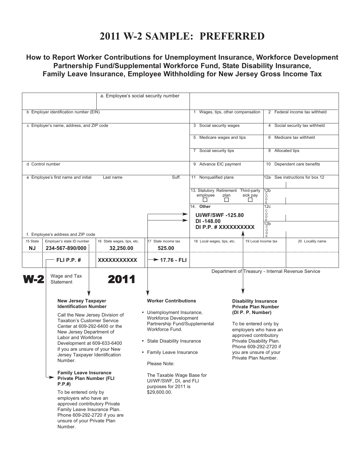### **2011 W-2 SAMPLE: PREFERRED**

### **How to Report Worker Contributions for Unemployment Insurance, Workforce Development Partnership Fund/Supplemental Workforce Fund, State Disability Insurance, Family Leave Insurance, Employee Withholding for New Jersey Gross Income Tax**

|                                                                                                                                                                                                                                                                                                                                                                                                                                                                                                         | a. Employee's social security number                                                          |                                                                                                                                                              |                                                          |                                                                                                                                                                                |                     |                                    |                                                   |  |
|---------------------------------------------------------------------------------------------------------------------------------------------------------------------------------------------------------------------------------------------------------------------------------------------------------------------------------------------------------------------------------------------------------------------------------------------------------------------------------------------------------|-----------------------------------------------------------------------------------------------|--------------------------------------------------------------------------------------------------------------------------------------------------------------|----------------------------------------------------------|--------------------------------------------------------------------------------------------------------------------------------------------------------------------------------|---------------------|------------------------------------|---------------------------------------------------|--|
|                                                                                                                                                                                                                                                                                                                                                                                                                                                                                                         |                                                                                               |                                                                                                                                                              |                                                          |                                                                                                                                                                                |                     |                                    |                                                   |  |
| b Employer identification number (EIN)                                                                                                                                                                                                                                                                                                                                                                                                                                                                  |                                                                                               |                                                                                                                                                              |                                                          | 1 Wages, tips, other compensation                                                                                                                                              |                     | 2 Federal income tax withheld      |                                                   |  |
|                                                                                                                                                                                                                                                                                                                                                                                                                                                                                                         | c Employer's name, address, and ZIP code                                                      |                                                                                                                                                              |                                                          | 3 Social security wages                                                                                                                                                        |                     | 4 Social security tax withheld     |                                                   |  |
|                                                                                                                                                                                                                                                                                                                                                                                                                                                                                                         |                                                                                               |                                                                                                                                                              |                                                          | 5 Medicare wages and tips                                                                                                                                                      |                     |                                    | 6 Medicare tax withheld                           |  |
|                                                                                                                                                                                                                                                                                                                                                                                                                                                                                                         |                                                                                               |                                                                                                                                                              |                                                          | 7 Social security tips                                                                                                                                                         |                     | 8 Allocated tips                   |                                                   |  |
| d Control number                                                                                                                                                                                                                                                                                                                                                                                                                                                                                        |                                                                                               |                                                                                                                                                              |                                                          | 9 Advance EIC payment                                                                                                                                                          |                     | 10 Dependent care benefits         |                                                   |  |
|                                                                                                                                                                                                                                                                                                                                                                                                                                                                                                         | e Employee's first name and initial                                                           | Last name                                                                                                                                                    | Suff.                                                    | 11 Nonqualified plans                                                                                                                                                          |                     | See instructions for box 12<br>12a |                                                   |  |
|                                                                                                                                                                                                                                                                                                                                                                                                                                                                                                         |                                                                                               |                                                                                                                                                              |                                                          | 13. Statutory Retirement Third-party<br>employee<br>plan<br>$\perp$                                                                                                            | sick pay            | 12b<br>ŏ<br>$_{E}^{D}$             |                                                   |  |
|                                                                                                                                                                                                                                                                                                                                                                                                                                                                                                         |                                                                                               |                                                                                                                                                              |                                                          | 14. Other                                                                                                                                                                      |                     | 12c<br>C                           |                                                   |  |
|                                                                                                                                                                                                                                                                                                                                                                                                                                                                                                         |                                                                                               |                                                                                                                                                              | ⋗                                                        | <b>UI/WF/SWF-125.80</b><br>DI-148.00                                                                                                                                           |                     | O<br>D<br>E                        |                                                   |  |
|                                                                                                                                                                                                                                                                                                                                                                                                                                                                                                         |                                                                                               |                                                                                                                                                              |                                                          | DI P.P. # XXXXXXXXXX                                                                                                                                                           |                     | 12 <sub>b</sub>                    |                                                   |  |
|                                                                                                                                                                                                                                                                                                                                                                                                                                                                                                         | f. Employee's address and ZIP code                                                            |                                                                                                                                                              |                                                          |                                                                                                                                                                                |                     | $\overline{0}$                     |                                                   |  |
| 15 State<br><b>NJ</b>                                                                                                                                                                                                                                                                                                                                                                                                                                                                                   | Employer's state ID number<br>234-567-890/000                                                 | 16 State wages, tips, etc.<br>32,250.00                                                                                                                      | 17 State income tax<br>525.00                            | 18 Local wages, tips, etc.                                                                                                                                                     | 19 Local income tax |                                    | 20 Locality name                                  |  |
|                                                                                                                                                                                                                                                                                                                                                                                                                                                                                                         | FLI P.P. $#$                                                                                  | XXXXXXXXXXX                                                                                                                                                  | $\rightarrow$ 17.76 - FLI                                |                                                                                                                                                                                |                     |                                    |                                                   |  |
| <b>N-2</b>                                                                                                                                                                                                                                                                                                                                                                                                                                                                                              | Wage and Tax<br><b>Statement</b>                                                              | 2011                                                                                                                                                         |                                                          |                                                                                                                                                                                |                     |                                    | Department of Treasury - Internal Revenue Service |  |
|                                                                                                                                                                                                                                                                                                                                                                                                                                                                                                         | <b>New Jersey Taxpayer</b><br><b>Identification Number</b><br>Call the New Jersey Division of |                                                                                                                                                              | <b>Worker Contributions</b><br>• Unemployment Insurance, | <b>Disability Insurance</b><br><b>Private Plan Number</b><br>(DI P. P. Number)                                                                                                 |                     |                                    |                                                   |  |
| <b>Taxation's Customer Service</b><br>Center at 609-292-6400 or the<br>New Jersey Department of<br>Labor and Workforce<br>Development at 609-633-6400<br>if you are unsure of your New<br>Jersey Taxpayer Identification<br>Number.<br><b>Family Leave Insurance</b><br>Private Plan Number (FLI<br>P.P.#<br>To be entered only by<br>employers who have an<br>approved contributory Private<br>Family Leave Insurance Plan.<br>Phone 609-292-2720 if you are<br>unsure of your Private Plan<br>Number. |                                                                                               | <b>Workforce Development</b><br>Partnership Fund/Supplemental<br>Workforce Fund.<br>• State Disability Insurance<br>• Family Leave Insurance<br>Please Note: |                                                          | To be entered only by<br>employers who have an<br>approved contributory<br>Private Disability Plan.<br>Phone 609-292-2720 if<br>you are unsure of your<br>Private Plan Number. |                     |                                    |                                                   |  |
|                                                                                                                                                                                                                                                                                                                                                                                                                                                                                                         |                                                                                               | The Taxable Wage Base for<br>UI/WF/SWF, DI, and FLI<br>purposes for 2011 is<br>\$29,600.00.                                                                  |                                                          |                                                                                                                                                                                |                     |                                    |                                                   |  |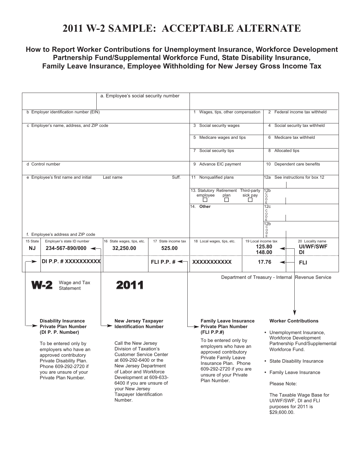# **2011 W-2 SAMPLE: ACCEPTABLE ALTERNATE**

### **How to Report Worker Contributions for Unemployment Insurance, Workforce Development Partnership Fund/Supplemental Workforce Fund, State Disability Insurance, Family Leave Insurance, Employee Withholding for New Jersey Gross Income Tax**

| a. Employee's social security number   |                                                                                                                                                                                                                                                                                                                                                                                                                                                                                                                                                                                                                 |                                         |                                                                                                                                                                                                                                                                        |                                                               |                                                                                                                                                                                                                                                                                                                 |                                |                                                   |  |
|----------------------------------------|-----------------------------------------------------------------------------------------------------------------------------------------------------------------------------------------------------------------------------------------------------------------------------------------------------------------------------------------------------------------------------------------------------------------------------------------------------------------------------------------------------------------------------------------------------------------------------------------------------------------|-----------------------------------------|------------------------------------------------------------------------------------------------------------------------------------------------------------------------------------------------------------------------------------------------------------------------|---------------------------------------------------------------|-----------------------------------------------------------------------------------------------------------------------------------------------------------------------------------------------------------------------------------------------------------------------------------------------------------------|--------------------------------|---------------------------------------------------|--|
| b Employer identification number (EIN) |                                                                                                                                                                                                                                                                                                                                                                                                                                                                                                                                                                                                                 |                                         |                                                                                                                                                                                                                                                                        | 1 Wages, tips, other compensation                             |                                                                                                                                                                                                                                                                                                                 | 2 Federal income tax withheld  |                                                   |  |
|                                        | c Employer's name, address, and ZIP code                                                                                                                                                                                                                                                                                                                                                                                                                                                                                                                                                                        |                                         |                                                                                                                                                                                                                                                                        | 3 Social security wages                                       |                                                                                                                                                                                                                                                                                                                 | 4 Social security tax withheld |                                                   |  |
|                                        |                                                                                                                                                                                                                                                                                                                                                                                                                                                                                                                                                                                                                 |                                         |                                                                                                                                                                                                                                                                        | 5 Medicare wages and tips                                     |                                                                                                                                                                                                                                                                                                                 |                                | 6 Medicare tax withheld                           |  |
|                                        |                                                                                                                                                                                                                                                                                                                                                                                                                                                                                                                                                                                                                 |                                         |                                                                                                                                                                                                                                                                        | 7 Social security tips                                        |                                                                                                                                                                                                                                                                                                                 | 8 Allocated tips               |                                                   |  |
|                                        | d Control number                                                                                                                                                                                                                                                                                                                                                                                                                                                                                                                                                                                                |                                         |                                                                                                                                                                                                                                                                        | 9 Advance EIC payment                                         |                                                                                                                                                                                                                                                                                                                 | 10 Dependent care benefits     |                                                   |  |
|                                        | e Employee's first name and initial                                                                                                                                                                                                                                                                                                                                                                                                                                                                                                                                                                             | Last name                               | Suff.                                                                                                                                                                                                                                                                  | 11 Nonqualified plans<br>13. Statutory Retirement Third-party | $\frac{1}{2}$                                                                                                                                                                                                                                                                                                   |                                | 12a See instructions for box 12                   |  |
|                                        | f. Employee's address and ZIP code                                                                                                                                                                                                                                                                                                                                                                                                                                                                                                                                                                              |                                         |                                                                                                                                                                                                                                                                        | employee<br>plan<br>П<br>14. Other                            | C<br>D<br>D<br>E<br>sick pay<br>$\Box$<br>12c<br>C<br>D<br>D<br>E<br>12 <sub>b</sub><br>°                                                                                                                                                                                                                       |                                |                                                   |  |
| 15 State<br><b>NJ</b>                  | Employer's state ID number<br>$234 - 567 - 890/000$ $\leftarrow$                                                                                                                                                                                                                                                                                                                                                                                                                                                                                                                                                | 16 State wages, tips, etc.<br>32,250.00 | 17 State income tax<br>525.00                                                                                                                                                                                                                                          | 18 Local wages, tips, etc.                                    | 19 Local income tax<br>125.80                                                                                                                                                                                                                                                                                   |                                | 20 Locality name<br><b>UI/WF/SWF</b>              |  |
|                                        | DI P.P. # XXXXXXXXXX                                                                                                                                                                                                                                                                                                                                                                                                                                                                                                                                                                                            |                                         | FLI P.P. $\sharp \preceq$                                                                                                                                                                                                                                              | XXXXXXXXXXX                                                   | 148.00<br>17.76                                                                                                                                                                                                                                                                                                 |                                | DI<br>FLI                                         |  |
|                                        | Wage and Tax<br><b>W-2</b><br><b>Statement</b>                                                                                                                                                                                                                                                                                                                                                                                                                                                                                                                                                                  | 2011                                    |                                                                                                                                                                                                                                                                        |                                                               |                                                                                                                                                                                                                                                                                                                 |                                | Department of Treasury - Internal Revenue Service |  |
|                                        | <b>Disability Insurance</b><br><b>New Jersey Taxpayer</b><br><b>Private Plan Number</b><br><b>Identification Number</b><br>(DI P. P. Number)<br>Call the New Jersey<br>To be entered only by<br>Division of Taxation's<br>employers who have an<br><b>Customer Service Center</b><br>approved contributory<br>at 609-292-6400 or the<br>Private Disability Plan.<br>New Jersey Department<br>Phone 609-292-2720 if<br>of Labor and Workforce<br>you are unsure of your<br>Development at 609-633-<br>Private Plan Number.<br>6400 if you are unsure of<br>your New Jersey<br>Taxpayer Identification<br>Number. |                                         | <b>Family Leave Insurance</b><br>> Private Plan Number<br>(FLI P.P.#)<br>To be entered only by<br>employers who have an<br>approved contributory<br>Private Family Leave<br>Insurance Plan. Phone<br>609-292-2720 if you are<br>unsure of your Private<br>Plan Number. |                                                               | <b>Worker Contributions</b><br>• Unemployment Insurance,<br>Workforce Development<br>Partnership Fund/Supplemental<br>Workforce Fund.<br>• State Disability Insurance<br>• Family Leave Insurance<br>Please Note:<br>The Taxable Wage Base for<br>UI/WF/SWF, DI and FLI<br>purposes for 2011 is<br>\$29,600.00. |                                |                                                   |  |